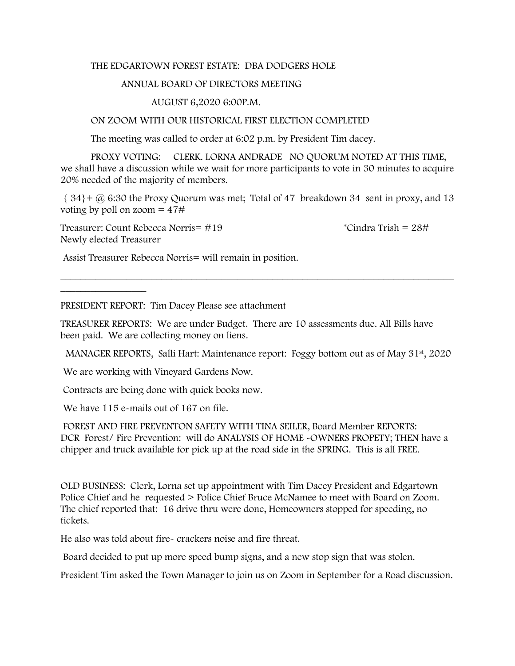## THE EDGARTOWN FOREST ESTATE: DBA DODGERS HOLE

## ANNUAL BOARD OF DIRECTORS MEETING

## AUGUST 6,2020 6:00P.M.

## ON ZOOM WITH OUR HISTORICAL FIRST ELECTION COMPLETED

The meeting was called to order at 6:02 p.m. by President Tim dacey.

PROXY VOTING: CLERK. LORNA ANDRADE NO QUORUM NOTED AT THIS TIME, we shall have a discussion while we wait for more participants to vote in 30 minutes to acquire 20% needed of the majority of members.

 $\{34\}$  +  $\omega$  6:30 the Proxy Quorum was met; Total of 47 breakdown 34 sent in proxy, and 13 voting by poll on zoom  $= 47#$ 

\_\_\_\_\_\_\_\_\_\_\_\_\_\_\_\_\_\_\_\_\_\_\_\_\_\_\_\_\_\_\_\_\_\_\_\_\_\_\_\_\_\_\_\_\_\_\_\_\_\_\_\_\_\_\_\_\_\_\_\_\_\_\_\_\_\_\_\_\_\_\_\_\_\_\_\_\_\_

Treasurer: Count Rebecca Norris=  $\#19$  \* Cindra Trish =  $28\#$ Newly elected Treasurer

 $\frac{1}{2}$  , where  $\frac{1}{2}$ 

Assist Treasurer Rebecca Norris= will remain in position.

PRESIDENT REPORT: Tim Dacey Please see attachment

TREASURER REPORTS: We are under Budget. There are 10 assessments due. All Bills have been paid. We are collecting money on liens.

MANAGER REPORTS, Salli Hart: Maintenance report: Foggy bottom out as of May 31<sup>st</sup>, 2020

We are working with Vineyard Gardens Now.

Contracts are being done with quick books now.

We have 115 e-mails out of 167 on file.

FOREST AND FIRE PREVENTON SAFETY WITH TINA SEILER, Board Member REPORTS: DCR Forest/ Fire Prevention: will do ANALYSIS OF HOME -OWNERS PROPETY; THEN have a chipper and truck available for pick up at the road side in the SPRING. This is all FREE.

OLD BUSINESS: Clerk, Lorna set up appointment with Tim Dacey President and Edgartown Police Chief and he requested > Police Chief Bruce McNamee to meet with Board on Zoom. The chief reported that: 16 drive thru were done, Homeowners stopped for speeding, no tickets.

He also was told about fire- crackers noise and fire threat.

Board decided to put up more speed bump signs, and a new stop sign that was stolen.

President Tim asked the Town Manager to join us on Zoom in September for a Road discussion.